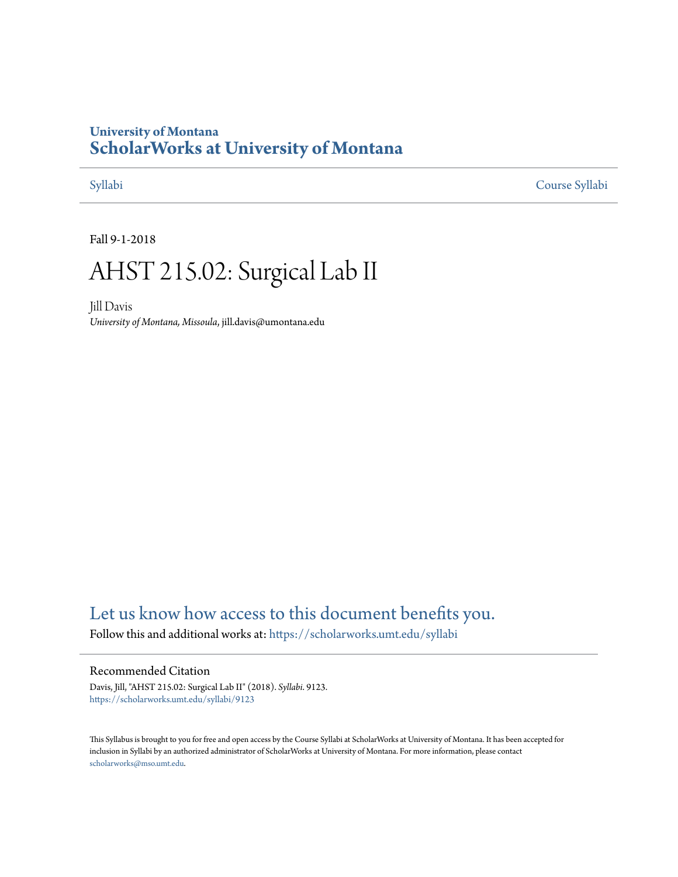# **University of Montana [ScholarWorks at University of Montana](https://scholarworks.umt.edu?utm_source=scholarworks.umt.edu%2Fsyllabi%2F9123&utm_medium=PDF&utm_campaign=PDFCoverPages)**

[Syllabi](https://scholarworks.umt.edu/syllabi?utm_source=scholarworks.umt.edu%2Fsyllabi%2F9123&utm_medium=PDF&utm_campaign=PDFCoverPages) [Course Syllabi](https://scholarworks.umt.edu/course_syllabi?utm_source=scholarworks.umt.edu%2Fsyllabi%2F9123&utm_medium=PDF&utm_campaign=PDFCoverPages)

Fall 9-1-2018

# AHST 215.02: Surgical Lab II

Jill Davis *University of Montana, Missoula*, jill.davis@umontana.edu

# [Let us know how access to this document benefits you.](https://goo.gl/forms/s2rGfXOLzz71qgsB2)

Follow this and additional works at: [https://scholarworks.umt.edu/syllabi](https://scholarworks.umt.edu/syllabi?utm_source=scholarworks.umt.edu%2Fsyllabi%2F9123&utm_medium=PDF&utm_campaign=PDFCoverPages)

#### Recommended Citation

Davis, Jill, "AHST 215.02: Surgical Lab II" (2018). *Syllabi*. 9123. [https://scholarworks.umt.edu/syllabi/9123](https://scholarworks.umt.edu/syllabi/9123?utm_source=scholarworks.umt.edu%2Fsyllabi%2F9123&utm_medium=PDF&utm_campaign=PDFCoverPages)

This Syllabus is brought to you for free and open access by the Course Syllabi at ScholarWorks at University of Montana. It has been accepted for inclusion in Syllabi by an authorized administrator of ScholarWorks at University of Montana. For more information, please contact [scholarworks@mso.umt.edu](mailto:scholarworks@mso.umt.edu).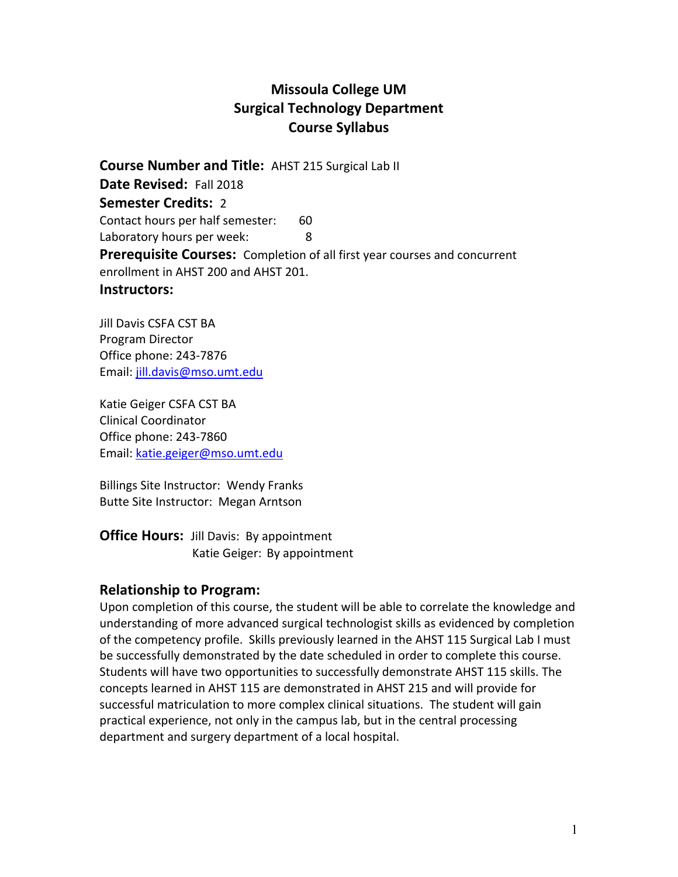# **Missoula College UM Surgical Technology Department Course Syllabus**

**Course Number and Title: AHST 215 Surgical Lab II Date Revised: Fall 2018 Semester Credits:** 2 Contact hours per half semester: 60 Laboratory hours per week: 8 **Prerequisite Courses:** Completion of all first year courses and concurrent enrollment in AHST 200 and AHST 201.

#### **Instructors:**

Jill Davis CSFA CST BA Program Director Office phone: 243‐7876 Email: jill.davis@mso.umt.edu

Katie Geiger CSFA CST BA Clinical Coordinator Office phone: 243‐7860 Email: katie.geiger@mso.umt.edu

Billings Site Instructor: Wendy Franks Butte Site Instructor: Megan Arntson

**Office Hours:** Jill Davis: By appointment Katie Geiger: By appointment

#### **Relationship to Program:**

Upon completion of this course, the student will be able to correlate the knowledge and understanding of more advanced surgical technologist skills as evidenced by completion of the competency profile. Skills previously learned in the AHST 115 Surgical Lab I must be successfully demonstrated by the date scheduled in order to complete this course. Students will have two opportunities to successfully demonstrate AHST 115 skills. The concepts learned in AHST 115 are demonstrated in AHST 215 and will provide for successful matriculation to more complex clinical situations. The student will gain practical experience, not only in the campus lab, but in the central processing department and surgery department of a local hospital.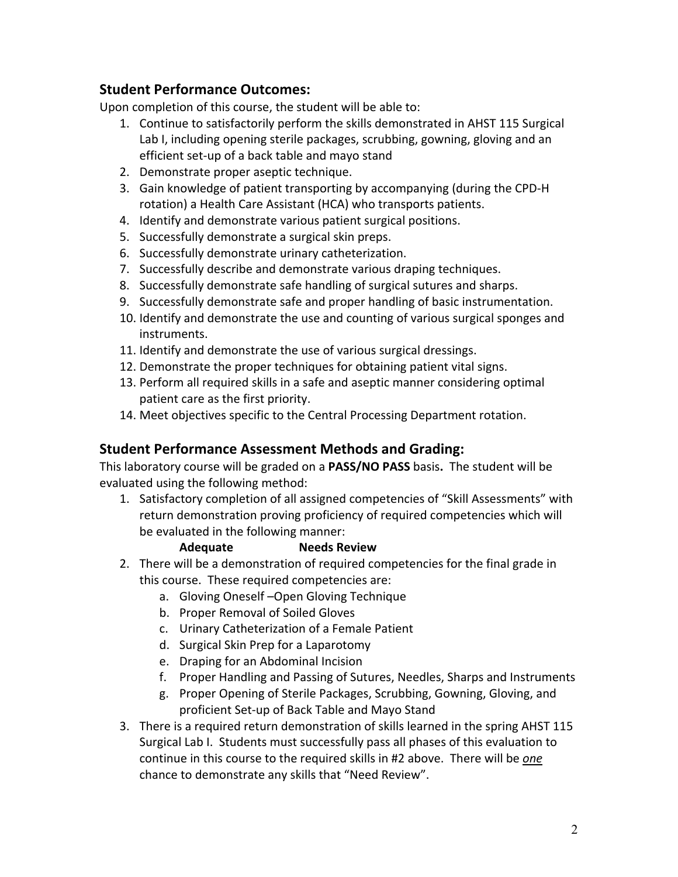# **Student Performance Outcomes:**

Upon completion of this course, the student will be able to:

- 1. Continue to satisfactorily perform the skills demonstrated in AHST 115 Surgical Lab I, including opening sterile packages, scrubbing, gowning, gloving and an efficient set‐up of a back table and mayo stand
- 2. Demonstrate proper aseptic technique.
- 3. Gain knowledge of patient transporting by accompanying (during the CPD-H rotation) a Health Care Assistant (HCA) who transports patients.
- 4. Identify and demonstrate various patient surgical positions.
- 5. Successfully demonstrate a surgical skin preps.
- 6. Successfully demonstrate urinary catheterization.
- 7. Successfully describe and demonstrate various draping techniques.
- 8. Successfully demonstrate safe handling of surgical sutures and sharps.
- 9. Successfully demonstrate safe and proper handling of basic instrumentation.
- 10. Identify and demonstrate the use and counting of various surgical sponges and instruments.
- 11. Identify and demonstrate the use of various surgical dressings.
- 12. Demonstrate the proper techniques for obtaining patient vital signs.
- 13. Perform all required skills in a safe and aseptic manner considering optimal patient care as the first priority.
- 14. Meet objectives specific to the Central Processing Department rotation.

# **Student Performance Assessment Methods and Grading:**

This laboratory course will be graded on a **PASS/NO PASS** basis**.**  The student will be evaluated using the following method:

1. Satisfactory completion of all assigned competencies of "Skill Assessments" with return demonstration proving proficiency of required competencies which will be evaluated in the following manner:

#### **Adequate Needs Review**

- 2. There will be a demonstration of required competencies for the final grade in this course. These required competencies are:
	- a. Gloving Oneself-Open Gloving Technique
	- b. Proper Removal of Soiled Gloves
	- c. Urinary Catheterization of a Female Patient
	- d. Surgical Skin Prep for a Laparotomy
	- e. Draping for an Abdominal Incision
	- f. Proper Handling and Passing of Sutures, Needles, Sharps and Instruments
	- g. Proper Opening of Sterile Packages, Scrubbing, Gowning, Gloving, and proficient Set‐up of Back Table and Mayo Stand
- 3. There is a required return demonstration of skills learned in the spring AHST 115 Surgical Lab I. Students must successfully pass all phases of this evaluation to continue in this course to the required skills in #2 above. There will be *one* chance to demonstrate any skills that "Need Review".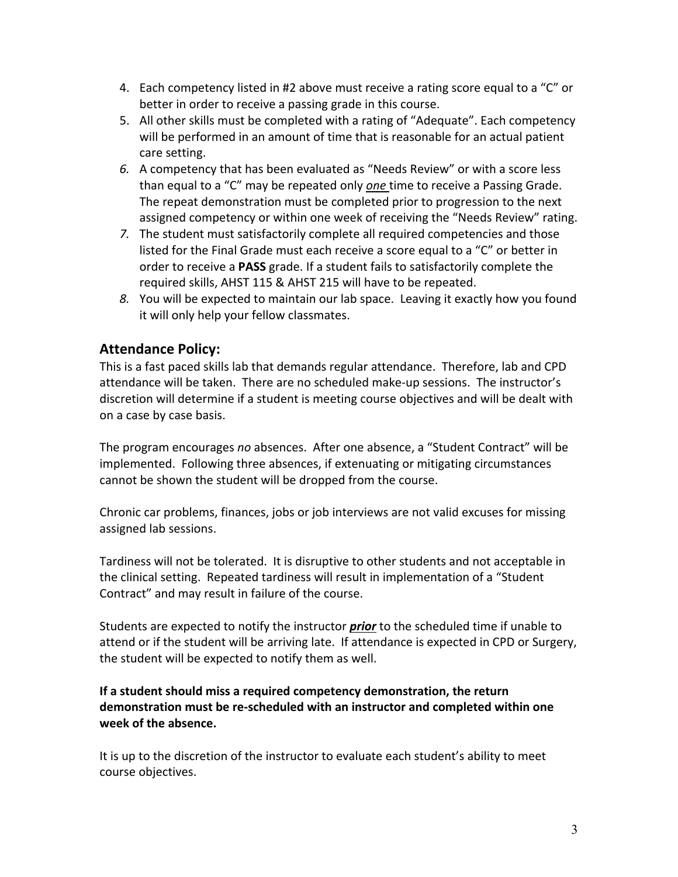- 4. Each competency listed in #2 above must receive a rating score equal to a "C" or better in order to receive a passing grade in this course.
- 5. All other skills must be completed with a rating of "Adequate". Each competency will be performed in an amount of time that is reasonable for an actual patient care setting.
- *6.* A competency that has been evaluated as "Needs Review" or with a score less than equal to a "C" may be repeated only *one* time to receive a Passing Grade. The repeat demonstration must be completed prior to progression to the next assigned competency or within one week of receiving the "Needs Review" rating.
- *7.* The student must satisfactorily complete all required competencies and those listed for the Final Grade must each receive a score equal to a "C" or better in order to receive a **PASS** grade. If a student fails to satisfactorily complete the required skills, AHST 115 & AHST 215 will have to be repeated.
- *8.* You will be expected to maintain our lab space. Leaving it exactly how you found it will only help your fellow classmates.

# **Attendance Policy:**

This is a fast paced skills lab that demands regular attendance. Therefore, lab and CPD attendance will be taken. There are no scheduled make‐up sessions. The instructor's discretion will determine if a student is meeting course objectives and will be dealt with on a case by case basis.

The program encourages *no* absences. After one absence, a "Student Contract" will be implemented. Following three absences, if extenuating or mitigating circumstances cannot be shown the student will be dropped from the course.

Chronic car problems, finances, jobs or job interviews are not valid excuses for missing assigned lab sessions.

Tardiness will not be tolerated. It is disruptive to other students and not acceptable in the clinical setting. Repeated tardiness will result in implementation of a "Student Contract" and may result in failure of the course.

Students are expected to notify the instructor *prior* to the scheduled time if unable to attend or if the student will be arriving late. If attendance is expected in CPD or Surgery, the student will be expected to notify them as well.

#### **If a student should miss a required competency demonstration, the return demonstration must be re‐scheduled with an instructor and completed within one week of the absence.**

It is up to the discretion of the instructor to evaluate each student's ability to meet course objectives.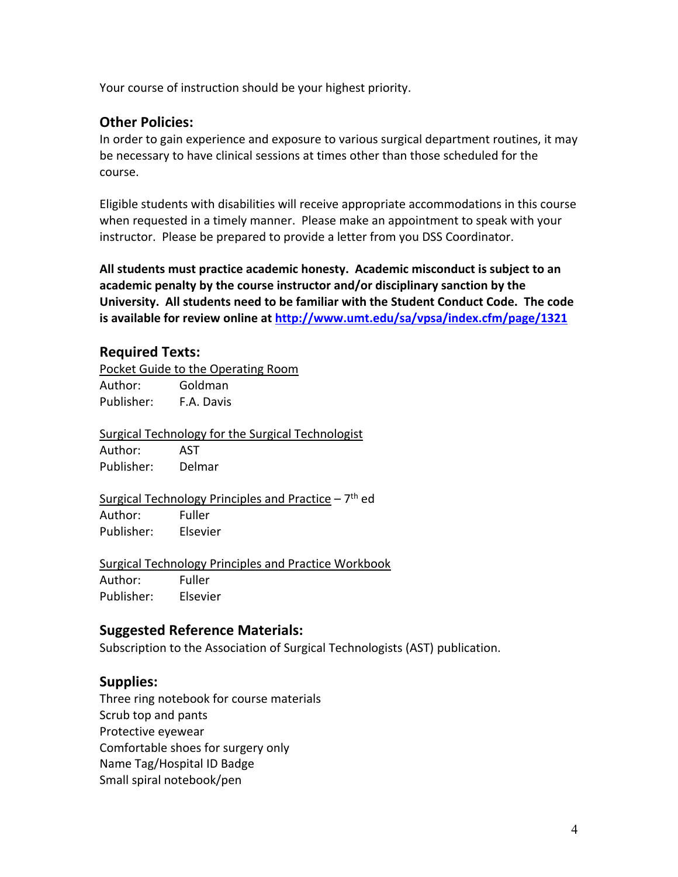Your course of instruction should be your highest priority.

# **Other Policies:**

In order to gain experience and exposure to various surgical department routines, it may be necessary to have clinical sessions at times other than those scheduled for the course.

Eligible students with disabilities will receive appropriate accommodations in this course when requested in a timely manner. Please make an appointment to speak with your instructor. Please be prepared to provide a letter from you DSS Coordinator.

**All students must practice academic honesty. Academic misconduct is subject to an academic penalty by the course instructor and/or disciplinary sanction by the University. All students need to be familiar with the Student Conduct Code. The code is available for review online at http://www.umt.edu/sa/vpsa/index.cfm/page/1321**

# **Required Texts:**

Pocket Guide to the Operating Room Author: Goldman Publisher: F.A. Davis

Surgical Technology for the Surgical Technologist Author: AST Publisher: Delmar

Surgical Technology Principles and Practice  $-7$ <sup>th</sup> ed Author: Fuller Publisher: Elsevier

Surgical Technology Principles and Practice Workbook Author: Fuller Publisher: Elsevier

# **Suggested Reference Materials:**

Subscription to the Association of Surgical Technologists (AST) publication.

### **Supplies:**

Three ring notebook for course materials Scrub top and pants Protective eyewear Comfortable shoes for surgery only Name Tag/Hospital ID Badge Small spiral notebook/pen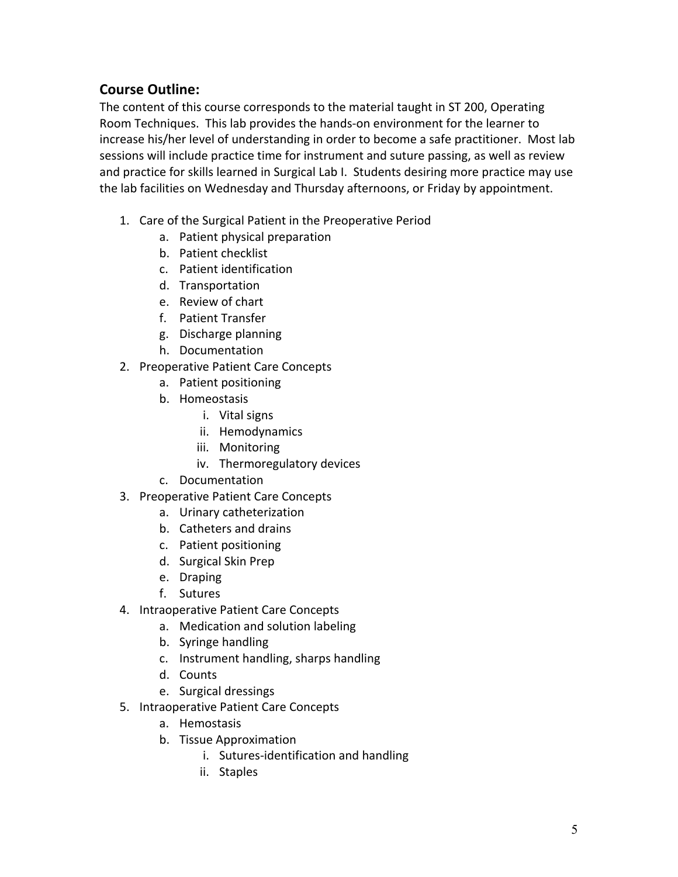# **Course Outline:**

The content of this course corresponds to the material taught in ST 200, Operating Room Techniques. This lab provides the hands‐on environment for the learner to increase his/her level of understanding in order to become a safe practitioner. Most lab sessions will include practice time for instrument and suture passing, as well as review and practice for skills learned in Surgical Lab I. Students desiring more practice may use the lab facilities on Wednesday and Thursday afternoons, or Friday by appointment.

- 1. Care of the Surgical Patient in the Preoperative Period
	- a. Patient physical preparation
	- b. Patient checklist
	- c. Patient identification
	- d. Transportation
	- e. Review of chart
	- f. Patient Transfer
	- g. Discharge planning
	- h. Documentation
- 2. Preoperative Patient Care Concepts
	- a. Patient positioning
	- b. Homeostasis
		- i. Vital signs
		- ii. Hemodynamics
		- iii. Monitoring
		- iv. Thermoregulatory devices
	- c. Documentation
- 3. Preoperative Patient Care Concepts
	- a. Urinary catheterization
	- b. Catheters and drains
	- c. Patient positioning
	- d. Surgical Skin Prep
	- e. Draping
	- f. Sutures
- 4. Intraoperative Patient Care Concepts
	- a. Medication and solution labeling
	- b. Syringe handling
	- c. Instrument handling, sharps handling
	- d. Counts
	- e. Surgical dressings
- 5. Intraoperative Patient Care Concepts
	- a. Hemostasis
	- b. Tissue Approximation
		- i. Sutures‐identification and handling
		- ii. Staples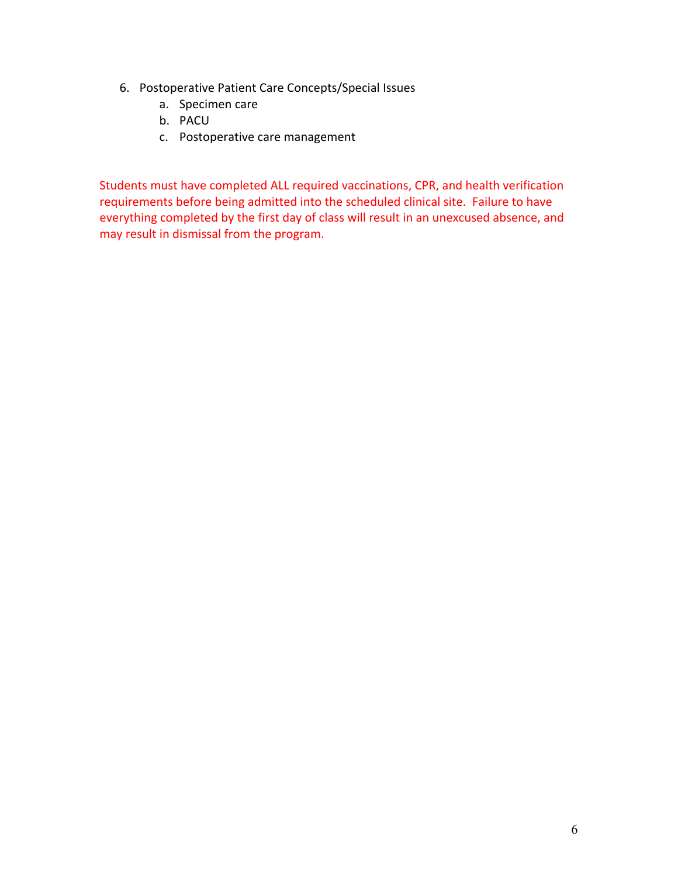- 6. Postoperative Patient Care Concepts/Special Issues
	- a. Specimen care
	- b. PACU
	- c. Postoperative care management

Students must have completed ALL required vaccinations, CPR, and health verification requirements before being admitted into the scheduled clinical site. Failure to have everything completed by the first day of class will result in an unexcused absence, and may result in dismissal from the program.